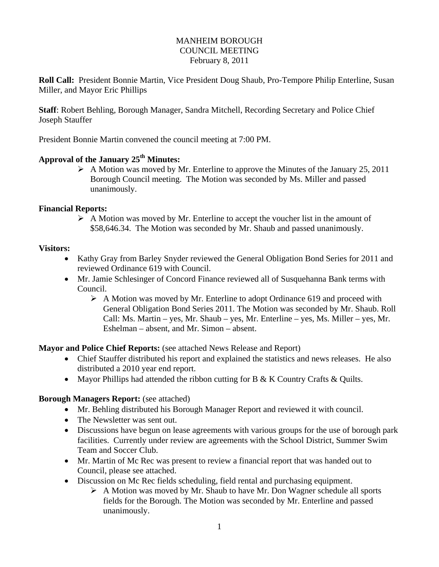#### MANHEIM BOROUGH COUNCIL MEETING February 8, 2011

**Roll Call:** President Bonnie Martin, Vice President Doug Shaub, Pro-Tempore Philip Enterline, Susan Miller, and Mayor Eric Phillips

**Staff**: Robert Behling, Borough Manager, Sandra Mitchell, Recording Secretary and Police Chief Joseph Stauffer

President Bonnie Martin convened the council meeting at 7:00 PM.

# Approval of the January 25<sup>th</sup> Minutes:

 $\triangleright$  A Motion was moved by Mr. Enterline to approve the Minutes of the January 25, 2011 Borough Council meeting. The Motion was seconded by Ms. Miller and passed unanimously.

## **Financial Reports:**

 $\triangleright$  A Motion was moved by Mr. Enterline to accept the voucher list in the amount of \$58,646.34. The Motion was seconded by Mr. Shaub and passed unanimously.

## **Visitors:**

- Kathy Gray from Barley Snyder reviewed the General Obligation Bond Series for 2011 and reviewed Ordinance 619 with Council.
- Mr. Jamie Schlesinger of Concord Finance reviewed all of Susquehanna Bank terms with Council.
	- A Motion was moved by Mr. Enterline to adopt Ordinance 619 and proceed with General Obligation Bond Series 2011. The Motion was seconded by Mr. Shaub. Roll Call: Ms. Martin – yes, Mr. Shaub – yes, Mr. Enterline – yes, Ms. Miller – yes, Mr. Eshelman – absent, and Mr. Simon – absent.

**Mayor and Police Chief Reports:** (see attached News Release and Report)

- Chief Stauffer distributed his report and explained the statistics and news releases. He also distributed a 2010 year end report.
- Mayor Phillips had attended the ribbon cutting for B & K Country Crafts & Ouilts.

## **Borough Managers Report:** (see attached)

- Mr. Behling distributed his Borough Manager Report and reviewed it with council.
- The Newsletter was sent out.
- Discussions have begun on lease agreements with various groups for the use of borough park facilities. Currently under review are agreements with the School District, Summer Swim Team and Soccer Club.
- Mr. Martin of Mc Rec was present to review a financial report that was handed out to Council, please see attached.
- Discussion on Mc Rec fields scheduling, field rental and purchasing equipment.
	- $\triangleright$  A Motion was moved by Mr. Shaub to have Mr. Don Wagner schedule all sports fields for the Borough. The Motion was seconded by Mr. Enterline and passed unanimously.